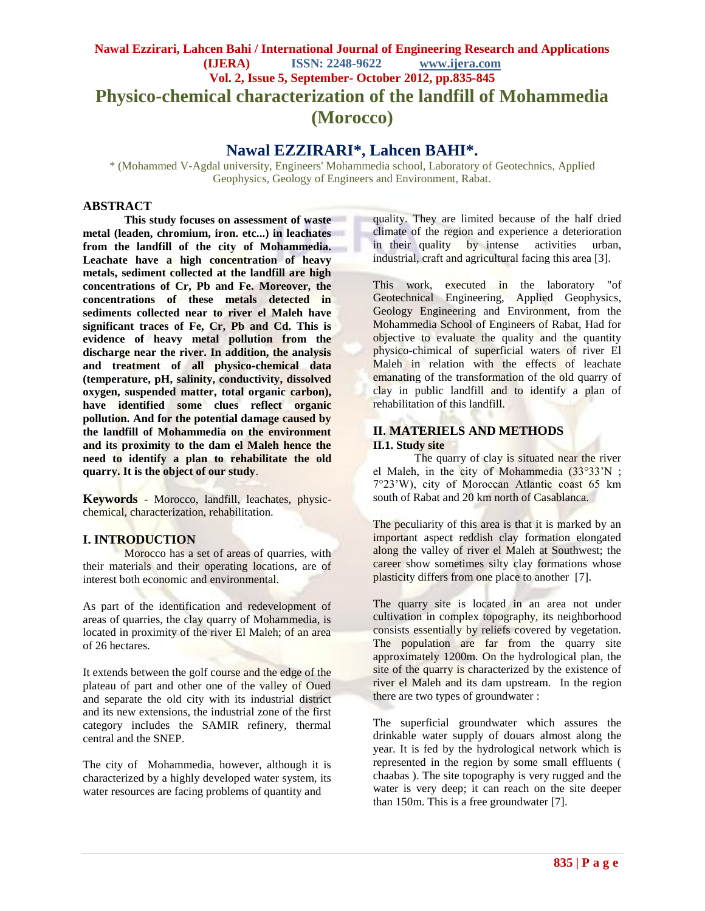# **Nawal Ezzirari, Lahcen Bahi / International Journal of Engineering Research and Applications (IJERA) ISSN: 2248-9622 www.ijera.com Vol. 2, Issue 5, September- October 2012, pp.835-845 Physico-chemical characterization of the landfill of Mohammedia (Morocco)**

# **Nawal EZZIRARI\*, Lahcen BAHI\*.**

\* (Mohammed V-Agdal university, Engineers' Mohammedia school, Laboratory of Geotechnics, Applied Geophysics, Geology of Engineers and Environment, Rabat.

## **ABSTRACT**

**This study focuses on assessment of waste metal (leaden, chromium, iron. etc...) in leachates from the landfill of the city of Mohammedia. Leachate have a high concentration of heavy metals, sediment collected at the landfill are high concentrations of Cr, Pb and Fe. Moreover, the concentrations of these metals detected in sediments collected near to river el Maleh have significant traces of Fe, Cr, Pb and Cd. This is evidence of heavy metal pollution from the discharge near the river. In addition, the analysis and treatment of all physico-chemical data (temperature, pH, salinity, conductivity, dissolved oxygen, suspended matter, total organic carbon), have identified some clues reflect organic pollution. And for the potential damage caused by the landfill of Mohammedia on the environment and its proximity to the dam el Maleh hence the need to identify a plan to rehabilitate the old quarry. It is the object of our study**.

**Keywords** - Morocco, landfill, leachates, physicchemical, characterization, rehabilitation.

## **I. INTRODUCTION**

Morocco has a set of areas of quarries, with their materials and their operating locations, are of interest both economic and environmental.

As part of the identification and redevelopment of areas of quarries, the clay quarry of Mohammedia, is located in proximity of the river El Maleh; of an area of 26 hectares.

It extends between the golf course and the edge of the plateau of part and other one of the valley of Oued and separate the old city with its industrial district and its new extensions, the industrial zone of the first category includes the SAMIR refinery, thermal central and the SNEP.

The city of Mohammedia, however, although it is characterized by a highly developed water system, its water resources are facing problems of quantity and

quality. They are limited because of the half dried climate of the region and experience a deterioration in their quality by intense activities urban, industrial, craft and agricultural facing this area [3].

This work, executed in the laboratory "of Geotechnical Engineering, Applied Geophysics, Geology Engineering and Environment, from the Mohammedia School of Engineers of Rabat, Had for objective to evaluate the quality and the quantity physico-chimical of superficial waters of river El Maleh in relation with the effects of leachate emanating of the transformation of the old quarry of clay in public landfill and to identify a plan of rehabilitation of this landfill.

## **II. MATERIELS AND METHODS II.1. Study site**

The quarry of clay is situated near the river el Maleh, in the city of Mohammedia (33°33"N ; 7°23"W), city of Moroccan Atlantic coast 65 km south of Rabat and 20 km north of Casablanca.

The peculiarity of this area is that it is marked by an important aspect reddish clay formation elongated along the valley of river el Maleh at Southwest; the career show sometimes silty clay formations whose plasticity differs from one place to another [7].

The quarry site is located in an area not under cultivation in complex topography, its neighborhood consists essentially by reliefs covered by vegetation. The population are far from the quarry site approximately 1200m. On the hydrological plan, the site of the quarry is characterized by the existence of river el Maleh and its dam upstream. In the region there are two types of groundwater :

The superficial groundwater which assures the drinkable water supply of douars almost along the year. It is fed by the hydrological network which is represented in the region by some small effluents ( chaabas ). The site topography is very rugged and the water is very deep; it can reach on the site deeper than 150m. This is a free groundwater [7].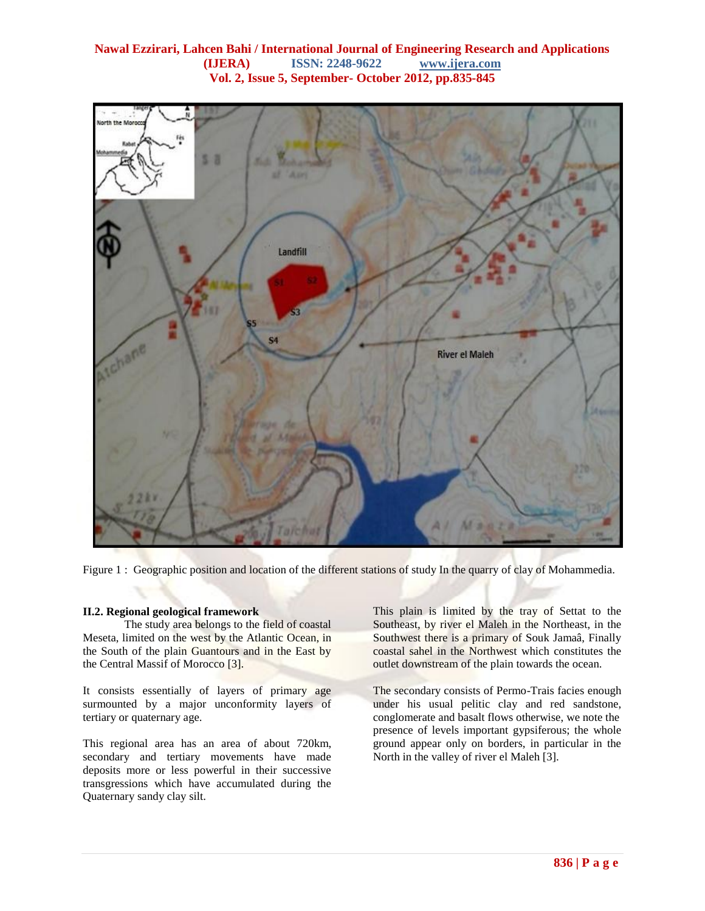

Figure 1 : Geographic position and location of the different stations of study In the quarry of clay of Mohammedia.

#### **II.2. Regional geological framework**

The study area belongs to the field of coastal Meseta, limited on the west by the Atlantic Ocean, in the South of the plain Guantours and in the East by the Central Massif of Morocco [3].

It consists essentially of layers of primary age surmounted by a major unconformity layers of tertiary or quaternary age.

This regional area has an area of about 720km, secondary and tertiary movements have made deposits more or less powerful in their successive transgressions which have accumulated during the Quaternary sandy clay silt.

This plain is limited by the tray of Settat to the Southeast, by river el Maleh in the Northeast, in the Southwest there is a primary of Souk Jamaâ, Finally coastal sahel in the Northwest which constitutes the outlet downstream of the plain towards the ocean.

The secondary consists of Permo-Trais facies enough under his usual pelitic clay and red sandstone, conglomerate and basalt flows otherwise, we note the presence of levels important gypsiferous; the whole ground appear only on borders, in particular in the North in the valley of river el Maleh [3].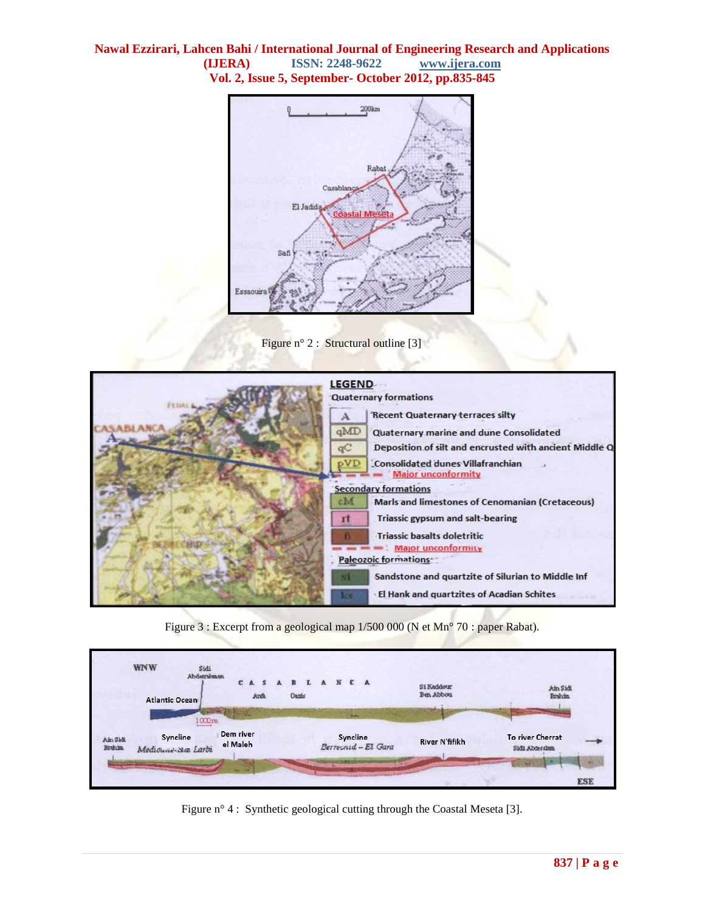





Figure 3 : Excerpt from a geological map 1/500 000 (N et Mn° 70 : paper Rabat).



Figure n° 4 : Synthetic geological cutting through the Coastal Meseta [3].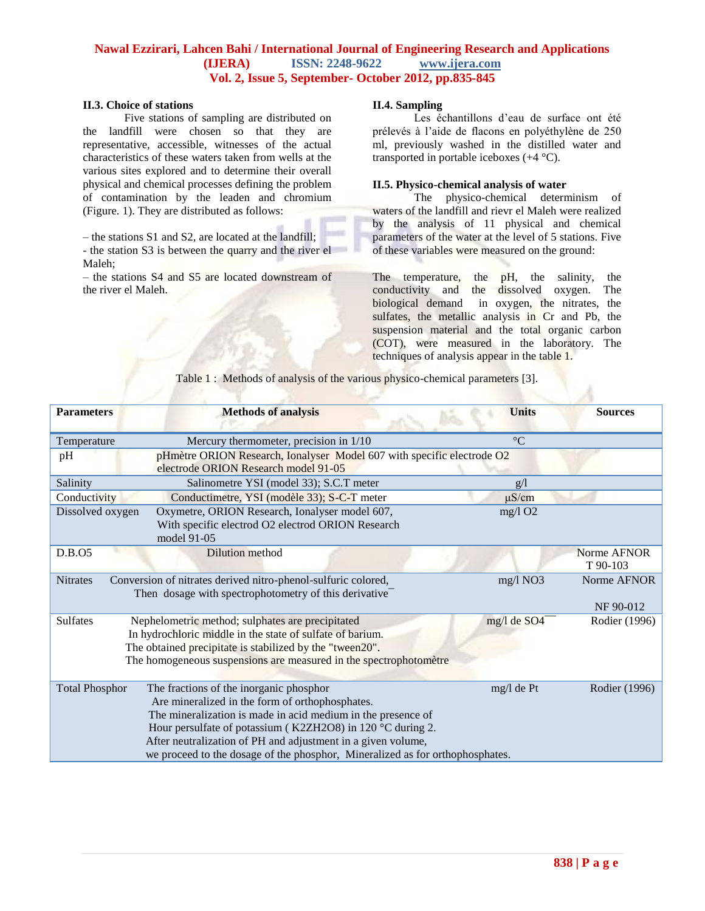#### **II.3. Choice of stations**

Five stations of sampling are distributed on the landfill were chosen so that they are representative, accessible, witnesses of the actual characteristics of these waters taken from wells at the various sites explored and to determine their overall physical and chemical processes defining the problem of contamination by the leaden and chromium (Figure. 1). They are distributed as follows:

– the stations S1 and S2, are located at the landfill;

- the station S3 is between the quarry and the river el Maleh;

– the stations S4 and S5 are located downstream of the river el Maleh.

### **II.4. Sampling**

Les échantillons d"eau de surface ont été prélevés à l"aide de flacons en polyéthylène de 250 ml, previously washed in the distilled water and transported in portable iceboxes (+4 °C).

#### **II.5. Physico-chemical analysis of water**

The physico-chemical determinism of waters of the landfill and rievr el Maleh were realized by the analysis of 11 physical and chemical parameters of the water at the level of 5 stations. Five of these variables were measured on the ground:

The temperature, the pH, the salinity, the conductivity and the dissolved oxygen. The biological demand in oxygen, the nitrates, the sulfates, the metallic analysis in Cr and Pb, the suspension material and the total organic carbon (COT), were measured in the laboratory. The techniques of analysis appear in the table 1.

Table 1 : Methods of analysis of the various physico-chemical parameters [3].

| <b>Parameters</b>     | <b>Methods of analysis</b>                                                                                                                                                                                                                                                                                                                                                | <b>Units</b>              | <b>Sources</b>           |
|-----------------------|---------------------------------------------------------------------------------------------------------------------------------------------------------------------------------------------------------------------------------------------------------------------------------------------------------------------------------------------------------------------------|---------------------------|--------------------------|
| Temperature           | Mercury thermometer, precision in 1/10                                                                                                                                                                                                                                                                                                                                    | $\rm ^{\circ}C$           |                          |
| pH                    | pHmètre ORION Research, Ionalyser Model 607 with specific electrode O2<br>electrode ORION Research model 91-05                                                                                                                                                                                                                                                            |                           |                          |
| Salinity              | Salinometre YSI (model 33); S.C.T meter                                                                                                                                                                                                                                                                                                                                   | g/l                       |                          |
| Conductivity          | Conductimetre, YSI (modèle 33); S-C-T meter                                                                                                                                                                                                                                                                                                                               | $\mu$ S/cm                |                          |
| Dissolved oxygen      | Oxymetre, ORION Research, Ionalyser model 607,<br>With specific electrod O2 electrod ORION Research<br>model 91-05                                                                                                                                                                                                                                                        | mg/1O2                    |                          |
| D.B.O5                | Dilution method                                                                                                                                                                                                                                                                                                                                                           |                           | Norme AFNOR<br>T 90-103  |
| <b>Nitrates</b>       | Conversion of nitrates derived nitro-phenol-sulfuric colored,<br>Then dosage with spectrophotometry of this derivative <sup>-</sup>                                                                                                                                                                                                                                       | mg/l NO3                  | Norme AFNOR<br>NF 90-012 |
| <b>Sulfates</b>       | Nephelometric method; sulphates are precipitated<br>In hydrochloric middle in the state of sulfate of barium.<br>The obtained precipitate is stabilized by the "tween20".<br>The homogeneous suspensions are measured in the spectrophotomètre                                                                                                                            | mg/l de SO4 <sup>--</sup> | Rodier (1996)            |
| <b>Total Phosphor</b> | The fractions of the inorganic phosphor<br>Are mineralized in the form of orthophosphates.<br>The mineralization is made in acid medium in the presence of<br>Hour persulfate of potassium (K2ZH2O8) in 120 °C during 2.<br>After neutralization of PH and adjustment in a given volume,<br>we proceed to the dosage of the phosphor, Mineralized as for orthophosphates. | mg/l de Pt                | Rodier (1996)            |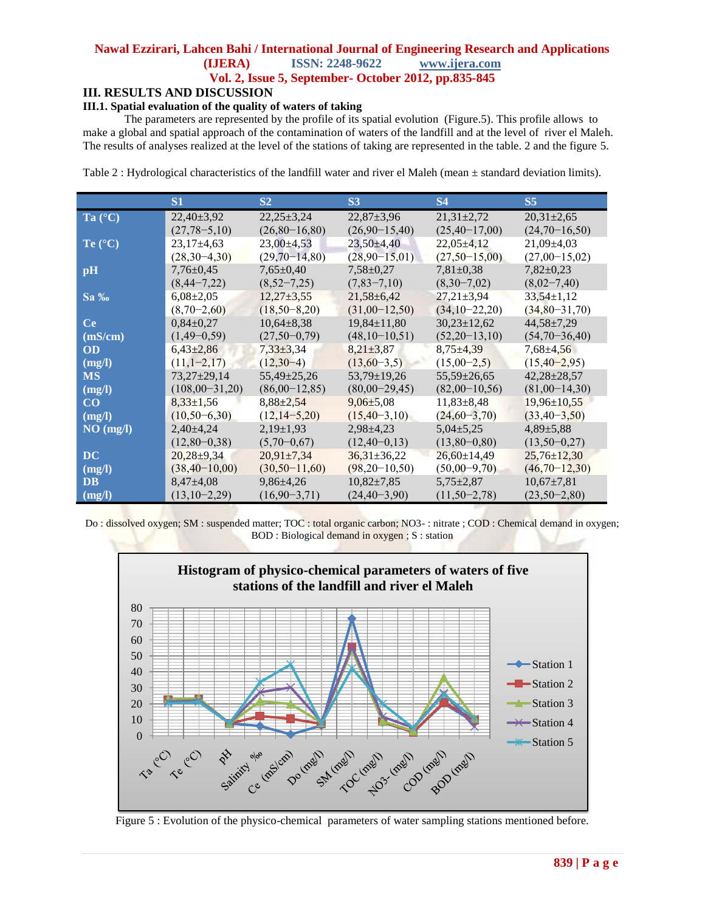# **III. RESULTS AND DISCUSSION**

# **III.1. Spatial evaluation of the quality of waters of taking**

The parameters are represented by the profile of its spatial evolution (Figure.5). This profile allows to make a global and spatial approach of the contamination of waters of the landfill and at the level of river el Maleh. The results of analyses realized at the level of the stations of taking are represented in the table. 2 and the figure 5.

Table 2 : Hydrological characteristics of the landfill water and river el Maleh (mean  $\pm$  standard deviation limits).

|                  | S1                 | S <sub>2</sub>     | <b>S3</b>          | <b>S4</b>         | S <sub>5</sub>     |
|------------------|--------------------|--------------------|--------------------|-------------------|--------------------|
| Ta $(^{\circ}C)$ | $22,40\pm3,92$     | $22.25 \pm 3.24$   | $22,87 \pm 3,96$   | $21,31\pm2,72$    | $20.31 \pm 2.65$   |
|                  | $(27, 78 - 5, 10)$ | $(26,80-16,80)$    | $(26,90-15,40)$    | $(25,40-17,00)$   | $(24,70-16,50)$    |
| Te $(^{\circ}C)$ | $23,17\pm4,63$     | $23,00\pm4,53$     | $23,50 \pm 4,40$   | $22,05\pm4,12$    | $21,09 \pm 4,03$   |
|                  | $(28,30-4,30)$     | $(29,70-14,80)$    | $(28,90-15,01)$    | $(27,50-15,00)$   | $(27,00-15,02)$    |
| pH               | $7.76 \pm 0.45$    | $7,65{\pm}0.40$    | $7.58 \pm 0.27$    | $7,81\pm0.38$     | $7,82\pm0.23$      |
|                  | $(8,44-7,22)$      | $(8,52-7,25)$      | $(7,83-7,10)$      | $(8,30-7,02)$     | $(8,02-7,40)$      |
| $Sa\%$           | $6,08\pm2,05$      | $12,27\pm3,55$     | $21,58 \pm 6,42$   | $27.21 \pm 3.94$  | $33,54 \pm 1,12$   |
|                  | $(8,70-2,60)$      | $(18,50-8,20)$     | $(31,00-12,50)$    | $(34,10-22,20)$   | $(34,80-31,70)$    |
| <b>Ce</b>        | $0.84 \pm 0.27$    | $10,64\pm8,38$     | $19,84 \pm 11,80$  | $30,23 \pm 12,62$ | $44,58 \pm 7,29$   |
| (mS/cm)          | $(1,49-0,59)$      | $(27,50-0,79)$     | $(48,10-10,51)$    | $(52,20-13,10)$   | $(54,70-36,40)$    |
| OD               | $6,43\pm2,86$      | $7.33 \pm 3.34$    | $8,21\pm3,87$      | $8,75\pm4,39$     | $7,68 \pm 4,56$    |
| (mg/l)           | $(11,1-2,17)$      | $(12,30-4)$        | $(13,60-3,5)$      | $(15,00-2,5)$     | $(15, 40 - 2, 95)$ |
| <b>MS</b>        | $73,27\pm 29,14$   | $55,49\pm 25,26$   | $53,79 \pm 19,26$  | $55,59 \pm 26,65$ | $42.28 \pm 28.57$  |
| (mg/l)           | $(108,00-31,20)$   | $(86,00-12,85)$    | $(80,00-29,45)$    | $(82,00-10,56)$   | $(81,00-14,30)$    |
| $\bf CO$         | $8.33 \pm 1.56$    | $8.88 \pm 2.54$    | $9.06 \pm 5.08$    | $11,83\pm8,48$    | $19,96 \pm 10.55$  |
| (mg/l)           | $(10, 50 - 6, 30)$ | $(12, 14 - 5, 20)$ | $(15, 40-3, 10)$   | $(24,60-3,70)$    | $(33, 40 - 3, 50)$ |
| NO (mg/l)        | $2,40\pm4,24$      | $2,19\pm1,93$      | $2.98 \pm 4.23$    | $5,04\pm5,25$     | $4,89{\pm}5,88$    |
|                  | $(12,80-0,38)$     | $(5,70-0,67)$      | $(12, 40 - 0, 13)$ | $(13,80-0,80)$    | $(13,50-0,27)$     |
| DC.              | $20,28+9,34$       | $20,91\pm7,34$     | $36,31 \pm 36,22$  | $26,60\pm14,49$   | $25,76 \pm 12,30$  |
| (mg/l)           | $(38,40-10,00)$    | $(30,50-11,60)$    | $(98,20-10,50)$    | $(50,00-9,70)$    | $(46,70-12,30)$    |
| <b>DB</b>        | $8,47{\pm}4,08$    | $9,86\pm4,26$      | $10,82{\pm}7,85$   | $5,75\pm2,87$     | $10,67\pm7,81$     |
| (mg/l)           | $(13,10-2,29)$     | $(16,90-3,71)$     | $(24, 40 - 3, 90)$ | $(11,50-2,78)$    | $(23,50-2,80)$     |

Do : dissolved oxygen; SM : suspended matter; TOC : total organic carbon; NO3- : nitrate ; COD : Chemical demand in oxygen; BOD : Biological demand in oxygen ; S : station



Figure 5 : Evolution of the physico-chemical parameters of water sampling stations mentioned before.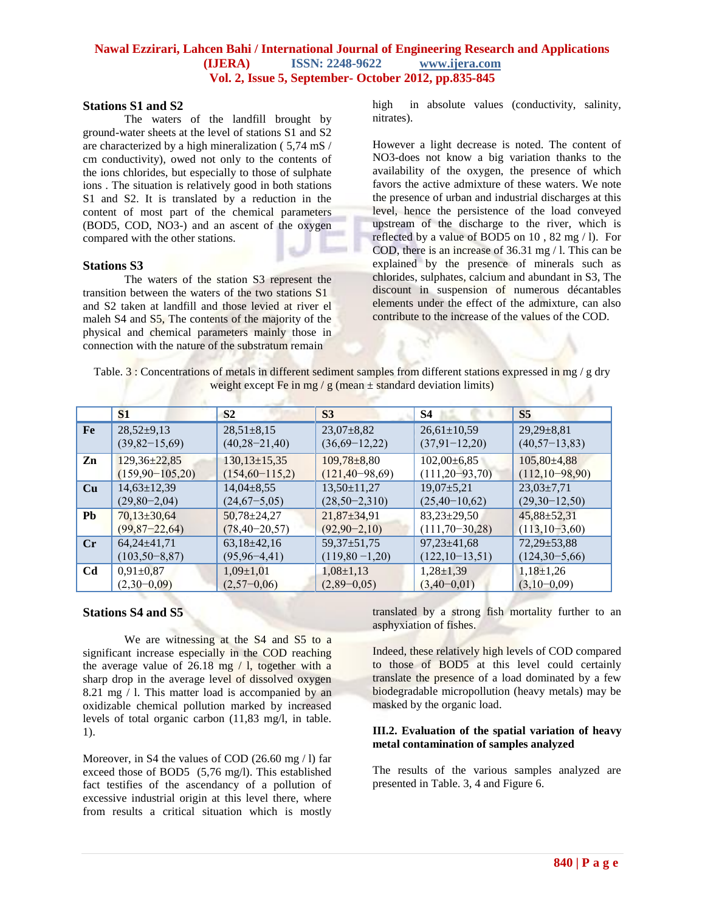#### **Stations S1 and S2**

The waters of the landfill brought by ground-water sheets at the level of stations S1 and S2 are characterized by a high mineralization ( 5,74 mS / cm conductivity), owed not only to the contents of the ions chlorides, but especially to those of sulphate ions . The situation is relatively good in both stations S1 and S2. It is translated by a reduction in the content of most part of the chemical parameters (BOD5, COD, NO3-) and an ascent of the oxygen compared with the other stations.

## **Stations S3**

The waters of the station S3 represent the transition between the waters of the two stations S1 and S2 taken at landfill and those levied at river el maleh S4 and S5, The contents of the majority of the physical and chemical parameters mainly those in connection with the nature of the substratum remain

high in absolute values (conductivity, salinity, nitrates).

However a light decrease is noted. The content of NO3-does not know a big variation thanks to the availability of the oxygen, the presence of which favors the active admixture of these waters. We note the presence of urban and industrial discharges at this level, hence the persistence of the load conveyed upstream of the discharge to the river, which is reflected by a value of BOD5 on 10 , 82 mg / l). For COD, there is an increase of 36.31 mg / l. This can be explained by the presence of minerals such as chlorides, sulphates, calcium and abundant in S3, The discount in suspension of numerous décantables elements under the effect of the admixture, can also contribute to the increase of the values of the COD.

Table. 3 : Concentrations of metals in different sediment samples from different stations expressed in mg / g dry weight except Fe in mg / g (mean  $\pm$  standard deviation limits)

|                | S <sub>1</sub>      | S <sub>2</sub>       | S <sub>3</sub>       | S4                   | S <sub>5</sub>     |
|----------------|---------------------|----------------------|----------------------|----------------------|--------------------|
| Fe             | $28,52\pm9,13$      | $28,51\pm8,15$       | $23,07\pm8,82$       | $26,61\pm10,59$      | $29,29\pm8,81$     |
|                | $(39,82-15,69)$     | $(40, 28 - 21, 40)$  | $(36,69-12,22)$      | $(37,91-12,20)$      | $(40, 57-13, 83)$  |
| Zn             | $129,36\pm 22,85$   | $130, 13 \pm 15, 35$ | $109,78\pm8,80$      | $102,00\pm6.85$      | $105,80\pm4,88$    |
|                | $(159,90-105,20)$   | $(154, 60 - 115, 2)$ | $(121, 40 - 98, 69)$ | $(111, 20 - 93, 70)$ | $(112, 10-98, 90)$ |
| Cu             | $14,63 \pm 12,39$   | $14,04\pm8,55$       | $13,50\pm11,27$      | $19,07 \pm 5,21$     | $23,03\pm7,71$     |
|                | $(29,80-2,04)$      | $(24,67-5,05)$       | $(28,50-2,310)$      | $(25,40-10,62)$      | $(29,30-12,50)$    |
| <b>Pb</b>      | $70,13\pm30,64$     | $50,78 \pm 24,27$    | $21,87\pm34,91$      | $83,23\pm 29,50$     | $45,88 \pm 52,31$  |
|                | $(99,87-22,64)$     | $(78, 40 - 20, 57)$  | $(92, 90 - 2, 10)$   | $(111,70-30,28)$     | $(113, 10-3, 60)$  |
| $\mathbf{C}$ r | $64,24\pm41,71$     | $63,18\pm42,16$      | $59,37 \pm 51,75$    | $97,23 \pm 41,68$    | $72,29 \pm 53,88$  |
|                | $(103, 50 - 8, 87)$ | $(95, 96 - 4, 41)$   | $(119,80 - 1,20)$    | $(122, 10-13, 51)$   | $(124,30-5,66)$    |
| C <sub>d</sub> | $0.91 \pm 0.87$     | $1,09\pm1,01$        | $1,08\pm1,13$        | $1,28\pm1,39$        | $1,18\pm1,26$      |
|                | $(2,30-0,09)$       | $(2,57-0,06)$        | $(2,89-0,05)$        | $(3,40-0,01)$        | $(3,10-0,09)$      |

## **Stations S4 and S5**

We are witnessing at the S4 and S5 to a significant increase especially in the COD reaching the average value of  $26.18$  mg  $/$  l, together with a sharp drop in the average level of dissolved oxygen 8.21 mg  $\overline{1}$  l. This matter load is accompanied by an oxidizable chemical pollution marked by increased levels of total organic carbon (11,83 mg/l, in table. 1).

Moreover, in S4 the values of COD (26.60 mg / l) far exceed those of BOD5 (5,76 mg/l). This established fact testifies of the ascendancy of a pollution of excessive industrial origin at this level there, where from results a critical situation which is mostly

translated by a strong fish mortality further to an asphyxiation of fishes.

Indeed, these relatively high levels of COD compared to those of BOD5 at this level could certainly translate the presence of a load dominated by a few biodegradable micropollution (heavy metals) may be masked by the organic load.

#### **III.2. Evaluation of the spatial variation of heavy metal contamination of samples analyzed**

The results of the various samples analyzed are presented in Table. 3, 4 and Figure 6.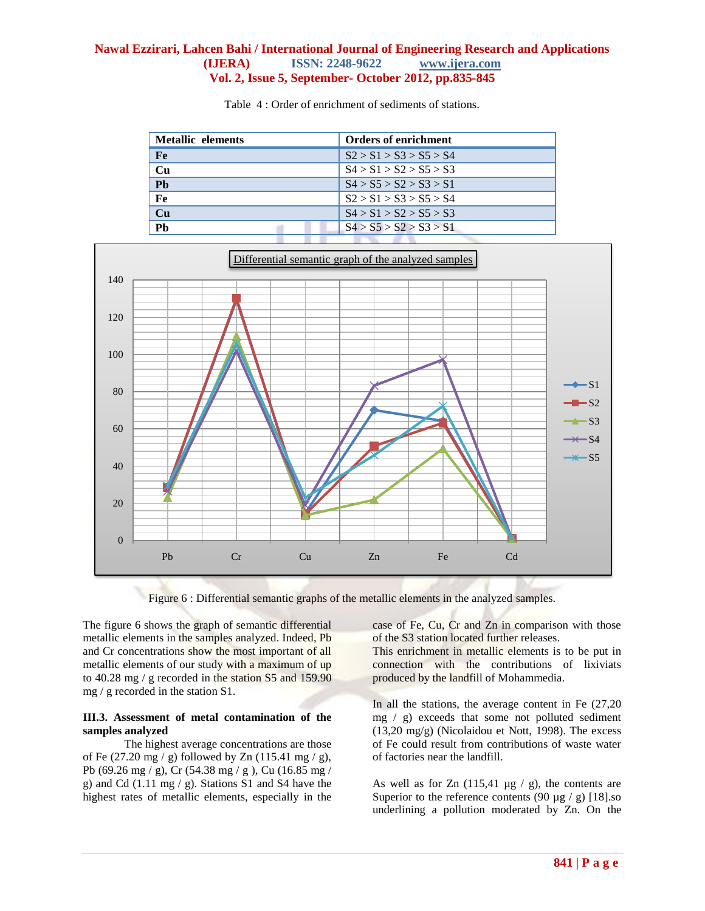| <b>Metallic elements</b> | <b>Orders of enrichment</b> |
|--------------------------|-----------------------------|
| Fe                       | S2 > S1 > S3 > S5 > S4      |
| Cu                       | S4 > S1 > S2 > S5 > S3      |
| Ph                       | S4 > S5 > S2 > S3 > S1      |
| Fe                       | S2 > S1 > S3 > S5 > S4      |
| Cu                       | S4 > S1 > S2 > S5 > S3      |
| Ph                       | S4 > S5 > S2 > S3 > S1      |

Table 4 : Order of enrichment of sediments of stations.



Figure 6 : Differential semantic graphs of the metallic elements in the analyzed samples.

The figure 6 shows the graph of semantic differential metallic elements in the samples analyzed. Indeed, Pb and Cr concentrations show the most important of all metallic elements of our study with a maximum of up to 40.28 mg / g recorded in the station S5 and 159.90 mg / g recorded in the station S1.

# **III.3. Assessment of metal contamination of the samples analyzed**

The highest average concentrations are those of Fe  $(27.20 \text{ mg} / \text{g})$  followed by Zn  $(115.41 \text{ mg} / \text{g})$ , Pb (69.26 mg / g), Cr (54.38 mg / g ), Cu (16.85 mg / g) and Cd (1.11 mg / g). Stations S1 and S4 have the highest rates of metallic elements, especially in the case of Fe, Cu, Cr and Zn in comparison with those of the S3 station located further releases.

This enrichment in metallic elements is to be put in connection with the contributions of lixiviats produced by the landfill of Mohammedia.

In all the stations, the average content in Fe (27,20 mg / g) exceeds that some not polluted sediment (13,20 mg/g) (Nicolaidou et Nott, 1998). The excess of Fe could result from contributions of waste water of factories near the landfill.

As well as for Zn  $(115, 41 \mu g / g)$ , the contents are Superior to the reference contents (90  $\mu$ g / g) [18].so underlining a pollution moderated by Zn. On the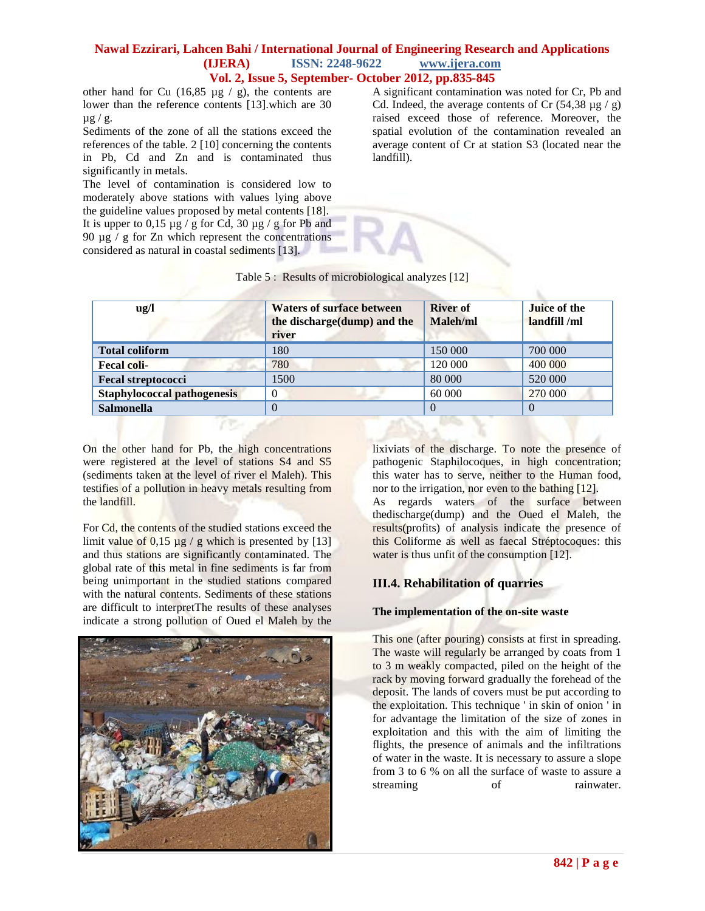other hand for Cu  $(16, 85 \text{ µg} / \text{g})$ , the contents are lower than the reference contents [13].which are 30  $\mu$ g/g.

Sediments of the zone of all the stations exceed the references of the table. 2 [10] concerning the contents in Pb, Cd and Zn and is contaminated thus significantly in metals.

The level of contamination is considered low to moderately above stations with values lying above the guideline values proposed by metal contents [18]. It is upper to 0,15  $\mu$ g / g for Cd, 30  $\mu$ g / g for Pb and 90  $\mu$ g / g for Zn which represent the concentrations considered as natural in coastal sediments [13].

A significant contamination was noted for Cr, Pb and Cd. Indeed, the average contents of Cr  $(54,38 \text{ µg} / \text{g})$ raised exceed those of reference. Moreover, the spatial evolution of the contamination revealed an average content of Cr at station S3 (located near the landfill).

| Table 5: Results of microbiological analyzes [12] |
|---------------------------------------------------|
|---------------------------------------------------|

| $\mathbf{u} \mathbf{g}/\mathbf{l}$ | <b>Waters of surface between</b><br>the discharge(dump) and the<br>river | <b>River of</b><br>Maleh/ml | Juice of the<br>landfill /ml |
|------------------------------------|--------------------------------------------------------------------------|-----------------------------|------------------------------|
| <b>Total coliform</b>              | 180                                                                      | 150 000                     | 700 000                      |
| <b>Fecal coli-</b>                 | 780                                                                      | 120 000                     | 400 000                      |
| <b>Fecal streptococci</b>          | 1500                                                                     | 80 000                      | 520 000                      |
| <b>Staphylococcal pathogenesis</b> | $\overline{0}$                                                           | 60 000                      | 270 000                      |
| <b>Salmonella</b>                  | $\theta$                                                                 |                             | $\left($                     |

On the other hand for Pb, the high concentrations were registered at the level of stations S4 and S5 (sediments taken at the level of river el Maleh). This testifies of a pollution in heavy metals resulting from the landfill.

For Cd, the contents of the studied stations exceed the limit value of 0,15  $\mu$ g / g which is presented by [13] and thus stations are significantly contaminated. The global rate of this metal in fine sediments is far from being unimportant in the studied stations compared with the natural contents. Sediments of these stations are difficult to interpretThe results of these analyses indicate a strong pollution of Oued el Maleh by the



lixiviats of the discharge. To note the presence of pathogenic Staphilocoques, in high concentration; this water has to serve, neither to the Human food, nor to the irrigation, nor even to the bathing [12].

As regards waters of the surface between thedischarge(dump) and the Oued el Maleh, the results(profits) of analysis indicate the presence of this Coliforme as well as faecal Stréptocoques: this water is thus unfit of the consumption [12].

## **III.4. Rehabilitation of quarries**

## **The implementation of the on-site waste**

This one (after pouring) consists at first in spreading. The waste will regularly be arranged by coats from 1 to 3 m weakly compacted, piled on the height of the rack by moving forward gradually the forehead of the deposit. The lands of covers must be put according to the exploitation. This technique ' in skin of onion ' in for advantage the limitation of the size of zones in exploitation and this with the aim of limiting the flights, the presence of animals and the infiltrations of water in the waste. It is necessary to assure a slope from 3 to 6 % on all the surface of waste to assure a streaming of rainwater.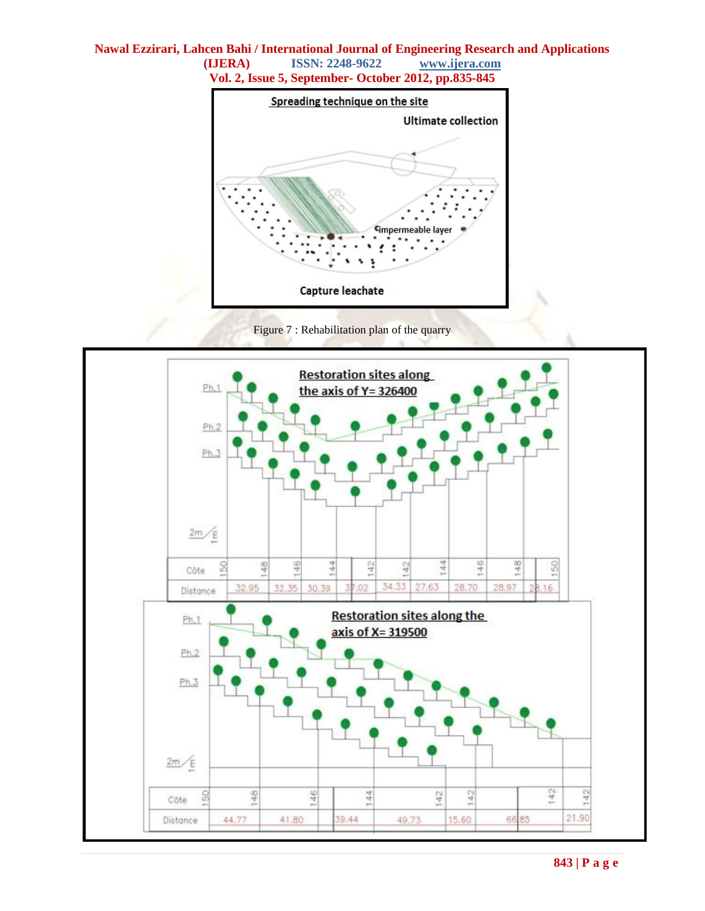

Figure 7 : Rehabilitation plan of the quarry

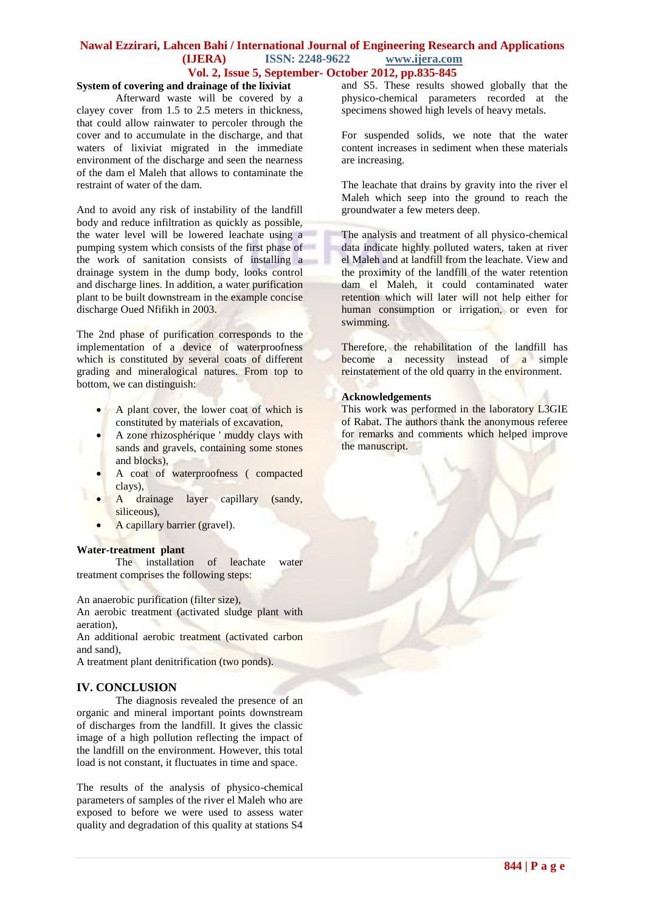#### **System of covering and drainage of the lixiviat**

Afterward waste will be covered by a clayey cover from 1.5 to 2.5 meters in thickness, that could allow rainwater to percoler through the cover and to accumulate in the discharge, and that waters of lixiviat migrated in the immediate environment of the discharge and seen the nearness of the dam el Maleh that allows to contaminate the restraint of water of the dam.

And to avoid any risk of instability of the landfill body and reduce infiltration as quickly as possible, the water level will be lowered leachate using a pumping system which consists of the first phase of the work of sanitation consists of installing a drainage system in the dump body, looks control and discharge lines. In addition, a water purification plant to be built downstream in the example concise discharge Oued Nfifikh in 2003.

The 2nd phase of purification corresponds to the implementation of a device of waterproofness which is constituted by several coats of different grading and mineralogical natures. From top to bottom, we can distinguish:

- A plant cover, the lower coat of which is constituted by materials of excavation,
- A zone rhizosphérique ' muddy clays with sands and gravels, containing some stones and blocks),
- A coat of waterproofness ( compacted clays),
- A drainage layer capillary (sandy, siliceous),
- A capillary barrier (gravel).

#### **Water-treatment plant**

The installation of leachate water treatment comprises the following steps:

An anaerobic purification (filter size),

An aerobic treatment (activated sludge plant with aeration),

An additional aerobic treatment (activated carbon and sand),

A treatment plant denitrification (two ponds).

## **IV. CONCLUSION**

The diagnosis revealed the presence of an organic and mineral important points downstream of discharges from the landfill. It gives the classic image of a high pollution reflecting the impact of the landfill on the environment. However, this total load is not constant, it fluctuates in time and space.

The results of the analysis of physico-chemical parameters of samples of the river el Maleh who are exposed to before we were used to assess water quality and degradation of this quality at stations S4

and S5. These results showed globally that the physico-chemical parameters recorded at the specimens showed high levels of heavy metals.

For suspended solids, we note that the water content increases in sediment when these materials are increasing.

The leachate that drains by gravity into the river el Maleh which seep into the ground to reach the groundwater a few meters deep.

The analysis and treatment of all physico-chemical data indicate highly polluted waters, taken at river el Maleh and at landfill from the leachate. View and the proximity of the landfill of the water retention dam el Maleh, it could contaminated water retention which will later will not help either for human consumption or irrigation, or even for swimming.

Therefore, the rehabilitation of the landfill has become a necessity instead of a simple reinstatement of the old quarry in the environment.

#### **Acknowledgements**

This work was performed in the laboratory L3GIE of Rabat. The authors thank the anonymous referee for remarks and comments which helped improve the manuscript.